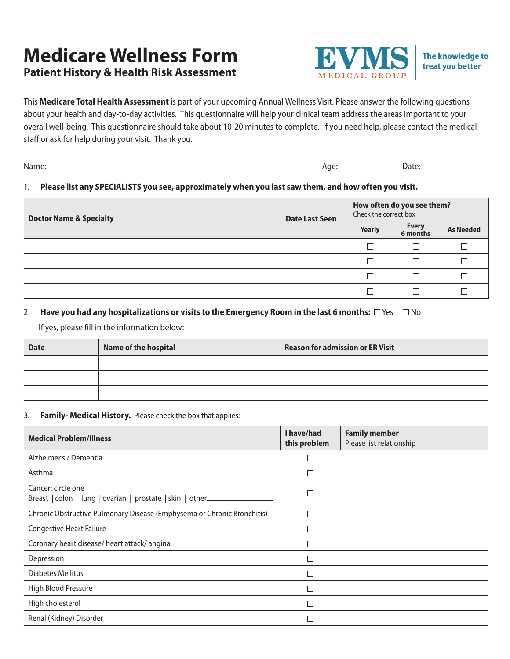# **Medicare Wellness Form Patient History & Health Risk Assessment**



The knowledge to treat you better

This **Medicare Total Health Assessment** is part of your upcoming Annual Wellness Visit. Please answer the following questions about your health and day-to-day activities. This questionnaire will help your clinical team address the areas important to your overall well-being. This questionnaire should take about 10-20 minutes to complete. If you need help, please contact the medical staff or ask for help during your visit. Thank you.

| W.<br>.<br>. | ΠL<br>71 I. | . |
|--------------|-------------|---|
|              |             |   |

### 1. **Please list any SPECIALISTS you see, approximately when you last saw them, and how often you visit.**

| <b>Doctor Name &amp; Specialty</b> | <b>Date Last Seen</b> | How often do you see them?<br>Check the correct box |                          |                  |  |
|------------------------------------|-----------------------|-----------------------------------------------------|--------------------------|------------------|--|
|                                    |                       | Yearly                                              | <b>Every</b><br>6 months | <b>As Needed</b> |  |
|                                    |                       | П                                                   |                          |                  |  |
|                                    |                       | $\Box$                                              |                          |                  |  |
|                                    |                       | П                                                   |                          |                  |  |
|                                    |                       |                                                     |                          |                  |  |

### 2. **Have you had any hospitalizations or visits to the Emergency Room in the last 6 months:**  $\Box$  Yes  $\Box$  No

If yes, please fill in the information below:

| <b>Date</b> | <b>Name of the hospital</b> | <b>Reason for admission or ER Visit</b> |
|-------------|-----------------------------|-----------------------------------------|
|             |                             |                                         |
|             |                             |                                         |
|             |                             |                                         |

#### 3. **Family- Medical History.** Please check the box that applies:

| <b>Medical Problem/Illness</b>                                                   | I have/had<br>this problem | <b>Family member</b><br>Please list relationship |
|----------------------------------------------------------------------------------|----------------------------|--------------------------------------------------|
| Alzheimer's / Dementia                                                           |                            |                                                  |
| Asthma                                                                           |                            |                                                  |
| Cancer: circle one<br>Breast   colon   lung   ovarian   prostate   skin   other_ | $\overline{\phantom{a}}$   |                                                  |
| Chronic Obstructive Pulmonary Disease (Emphysema or Chronic Bronchitis)          | □                          |                                                  |
| <b>Congestive Heart Failure</b>                                                  |                            |                                                  |
| Coronary heart disease/ heart attack/ angina                                     | n.                         |                                                  |
| Depression                                                                       |                            |                                                  |
| <b>Diabetes Mellitus</b>                                                         | ┑                          |                                                  |
| High Blood Pressure                                                              |                            |                                                  |
| High cholesterol                                                                 | n.                         |                                                  |
| Renal (Kidney) Disorder                                                          |                            |                                                  |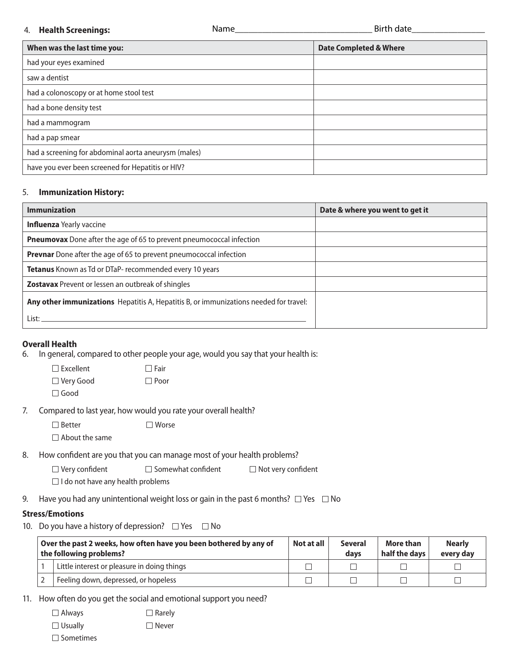#### 4. **Health Screenings:**

| When was the last time you:                          | <b>Date Completed &amp; Where</b> |
|------------------------------------------------------|-----------------------------------|
| had your eyes examined                               |                                   |
| saw a dentist                                        |                                   |
| had a colonoscopy or at home stool test              |                                   |
| had a bone density test                              |                                   |
| had a mammogram                                      |                                   |
| had a pap smear                                      |                                   |
| had a screening for abdominal aorta aneurysm (males) |                                   |
| have you ever been screened for Hepatitis or HIV?    |                                   |

#### 5. **Immunization History:**

| <b>Immunization</b>                                                                   | Date & where you went to get it |
|---------------------------------------------------------------------------------------|---------------------------------|
| <b>Influenza</b> Yearly vaccine                                                       |                                 |
| <b>Pneumovax</b> Done after the age of 65 to prevent pneumococcal infection           |                                 |
| <b>Prevnar</b> Done after the age of 65 to prevent pneumococcal infection             |                                 |
| Tetanus Known as Td or DTaP- recommended every 10 years                               |                                 |
| <b>Zostavax</b> Prevent or lessen an outbreak of shingles                             |                                 |
| Any other immunizations Hepatitis A, Hepatitis B, or immunizations needed for travel: |                                 |
| List: _                                                                               |                                 |

#### **Overall Health**

6. In general, compared to other people your age, would you say that your health is:

| $\Box$ Excellent | $\Box$ Fair |
|------------------|-------------|
| □ Very Good      | $\Box$ Poor |
| $\Box$ Good      |             |

7. Compared to last year, how would you rate your overall health?

 $\Box$  Better  $\Box$  Worse

 $\Box$  About the same

8. How confident are you that you can manage most of your health problems?

| $\Box$ Very confident                    | $\Box$ Somewhat confident | $\Box$ Not very confident |
|------------------------------------------|---------------------------|---------------------------|
| $\Box$ I do not have any health problems |                           |                           |

9. Have you had any unintentional weight loss or gain in the past 6 months?  $\Box$  Yes  $\Box$  No

## **Stress/Emotions**

10. Do you have a history of depression?  $\Box$  Yes  $\Box$  No

| Over the past 2 weeks, how often have you been bothered by any of<br>the following problems? | Not at all | <b>Several</b><br>davs | More than<br>half the days | <b>Nearly</b><br>every day |
|----------------------------------------------------------------------------------------------|------------|------------------------|----------------------------|----------------------------|
| Little interest or pleasure in doing things                                                  |            |                        |                            |                            |
| Feeling down, depressed, or hopeless                                                         |            |                        |                            |                            |

11. How often do you get the social and emotional support you need?

| $\Box$ Always    | $\Box$ Rarely |
|------------------|---------------|
| $\Box$ Usually   | $\Box$ Never  |
| $\Box$ Sometimes |               |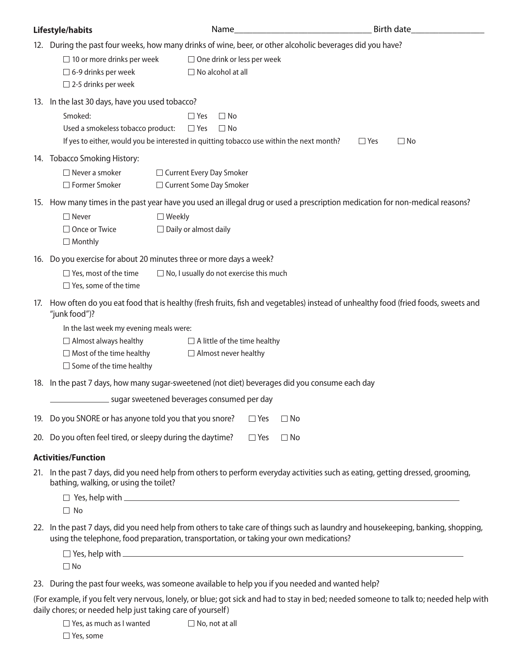| Lifestyle/habits                                                                                                                                                                                                            |               |                              | Name                                                          |              | <b>Birth date</b>       |  |
|-----------------------------------------------------------------------------------------------------------------------------------------------------------------------------------------------------------------------------|---------------|------------------------------|---------------------------------------------------------------|--------------|-------------------------|--|
| 12. During the past four weeks, how many drinks of wine, beer, or other alcoholic beverages did you have?                                                                                                                   |               |                              |                                                               |              |                         |  |
| $\Box$ 10 or more drinks per week<br>$\Box$ 6-9 drinks per week<br>$\Box$ 2-5 drinks per week                                                                                                                               |               |                              | $\Box$ One drink or less per week<br>$\Box$ No alcohol at all |              |                         |  |
| 13. In the last 30 days, have you used tobacco?                                                                                                                                                                             |               |                              |                                                               |              |                         |  |
| Smoked:                                                                                                                                                                                                                     |               | $\Box$ Yes                   | $\Box$ No                                                     |              |                         |  |
| Used a smokeless tobacco product:<br>If yes to either, would you be interested in quitting tobacco use within the next month?                                                                                               |               | $\Box$ Yes                   | $\Box$ No                                                     |              | $\Box$ Yes<br>$\Box$ No |  |
| 14. Tobacco Smoking History:                                                                                                                                                                                                |               |                              |                                                               |              |                         |  |
| $\Box$ Never a smoker                                                                                                                                                                                                       |               |                              | □ Current Every Day Smoker                                    |              |                         |  |
| □ Former Smoker                                                                                                                                                                                                             |               |                              | □ Current Some Day Smoker                                     |              |                         |  |
| 15. How many times in the past year have you used an illegal drug or used a prescription medication for non-medical reasons?                                                                                                |               |                              |                                                               |              |                         |  |
| $\Box$ Never                                                                                                                                                                                                                | $\Box$ Weekly |                              |                                                               |              |                         |  |
| □ Once or Twice<br>$\Box$ Monthly                                                                                                                                                                                           |               | $\Box$ Daily or almost daily |                                                               |              |                         |  |
| 16. Do you exercise for about 20 minutes three or more days a week?                                                                                                                                                         |               |                              |                                                               |              |                         |  |
| $\Box$ Yes, most of the time<br>$\Box$ Yes, some of the time                                                                                                                                                                |               |                              | $\Box$ No, I usually do not exercise this much                |              |                         |  |
| 17. How often do you eat food that is healthy (fresh fruits, fish and vegetables) instead of unhealthy food (fried foods, sweets and<br>"junk food")?                                                                       |               |                              |                                                               |              |                         |  |
| In the last week my evening meals were:                                                                                                                                                                                     |               |                              |                                                               |              |                         |  |
| $\Box$ Almost always healthy                                                                                                                                                                                                |               |                              | $\Box$ A little of the time healthy                           |              |                         |  |
| $\Box$ Most of the time healthy<br>$\Box$ Some of the time healthy                                                                                                                                                          |               |                              | $\Box$ Almost never healthy                                   |              |                         |  |
| 18. In the past 7 days, how many sugar-sweetened (not diet) beverages did you consume each day                                                                                                                              |               |                              |                                                               |              |                         |  |
|                                                                                                                                                                                                                             |               |                              | sugar sweetened beverages consumed per day                    |              |                         |  |
| 19. Do you SNORE or has anyone told you that you snore?                                                                                                                                                                     |               |                              | $\Box$ Yes                                                    | $\square$ No |                         |  |
| 20. Do you often feel tired, or sleepy during the daytime?                                                                                                                                                                  |               |                              | $\square$ Yes                                                 | $\square$ No |                         |  |
| <b>Activities/Function</b>                                                                                                                                                                                                  |               |                              |                                                               |              |                         |  |
| 21. In the past 7 days, did you need help from others to perform everyday activities such as eating, getting dressed, grooming,<br>bathing, walking, or using the toilet?                                                   |               |                              |                                                               |              |                         |  |
| $\Box$ Yes, help with $\Box$                                                                                                                                                                                                |               |                              |                                                               |              |                         |  |
| $\Box$ No                                                                                                                                                                                                                   |               |                              |                                                               |              |                         |  |
| 22. In the past 7 days, did you need help from others to take care of things such as laundry and housekeeping, banking, shopping,<br>using the telephone, food preparation, transportation, or taking your own medications? |               |                              |                                                               |              |                         |  |
| $\Box$ Yes, help with $\Box$                                                                                                                                                                                                |               |                              |                                                               |              |                         |  |
| $\Box$ No                                                                                                                                                                                                                   |               |                              |                                                               |              |                         |  |
| 23. During the past four weeks, was someone available to help you if you needed and wanted help?                                                                                                                            |               |                              |                                                               |              |                         |  |

(For example, if you felt very nervous, lonely, or blue; got sick and had to stay in bed; needed someone to talk to; needed help with daily chores; or needed help just taking care of yourself)

| $\Box$ Yes, as much as I wanted | $\Box$ No, not at all |
|---------------------------------|-----------------------|
| $\Box$ Yes, some                |                       |